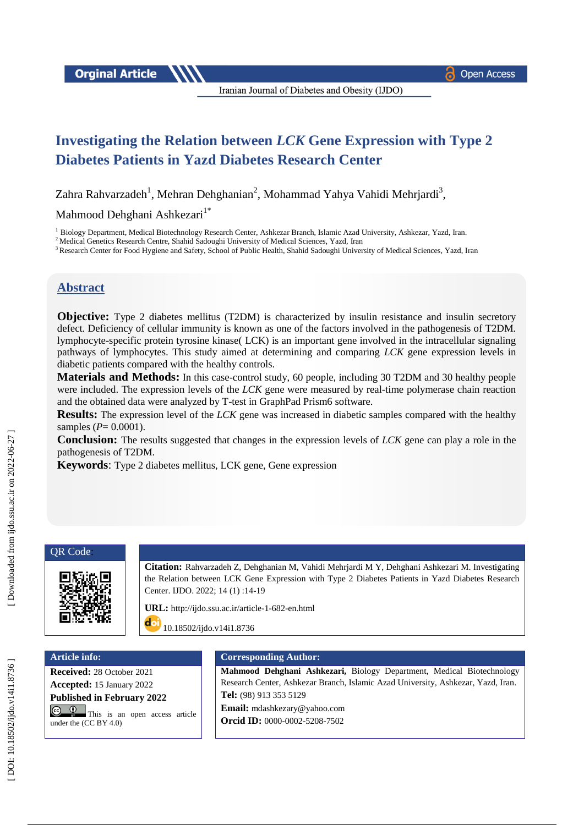**Orginal Article** 

Iranian Journal of Diabetes and Obesity (IJDO)

# **Investigating the Relation between** *LCK* **Gene Expression with Type 2 Diabetes Patients in Yazd Diabetes Research Center**

Zahra Rahvarzadeh<sup>1</sup>, Mehran Dehghanian<sup>2</sup>, Mohammad Yahya Vahidi Mehrjardi<sup>3</sup>,

Mahmood Dehghani Ashkezari<sup>1\*</sup>

<sup>1</sup> Biology Department, Medical Biotechnology Research Center, Ashkezar Branch, Islamic Azad University, Ashkezar, Yazd, Iran.

<sup>2</sup> Medical Genetics Research Centre, Shahid Sadoughi University of Medical Sciences, Yazd, Iran

<sup>3</sup> Research Center for Food Hygiene and Safety, School of Public Health, Shahid Sadoughi University of Medical Sciences, Yazd, Iran

## **Abstract**

**Objective:** Type 2 diabetes mellitus (T2DM) is characterized by insulin resistance and insulin secretory defect. Deficiency of cellular immunity is known as one of the factors involved in the pathogenesis of T2DM. lymphocyte -specific protein tyrosine kinase( LCK) is an important gene involved in the intracellular signaling pathways of lymphocytes. This study aimed at determining and comparing *LCK* gene expression levels in diabetic patients compared with the healthy controls.

Materials and Methods: In this case-control study, 60 people, including 30 T2DM and 30 healthy people were included. The expression levels of the *LCK* gene were measured by real -time polymerase chain reaction and the obtained data were analyzed by T -test in GraphPad Prism6 software.

**Results:** The expression level of the *LCK* gene was increased in diabetic samples compared with the healthy samples ( *P*= 0.0001).

**Conclusion :** The results suggested that changes in the expression levels of *LCK* gene can play a role in the pathogenesis of T2DM.

**Keywords**: Type 2 diabetes mellitus, LCK gene, Gene expression

#### QR Code :



**Citation:** Rahvarzadeh Z, Dehghanian M, Vahidi Mehrjardi M Y, Dehghani Ashkezari M. Investigating the Relation between LCK Gene Expression with Type 2 Diabetes Patients in Yazd Diabetes Research Center. IJDO. 2022; 14 (1) :14 -19

URL: [http://ijdo.ssu.ac.ir/article](http://ijdo.ssu.ac.ir/article-1-682-en.html)-1-682-en.html

doi [10.18502/ijdo.v14i1.8736](http://dx.doi.org/10.18502/ijdo.v13i4.7994)

**Receive d :** 28 October 2021 **Accepted :** 15 January 2022 **Published in February 2022**

**C 0** This is an open access article under the (CC BY 4.0)

#### **Article info: Corresponding Author:**

**Mahmood Dehghani Ashkezari,** Biology Department, Medical Biotechnology Research Center, Ashkezar Branch, Islamic Azad University, Ashkezar, Yazd, Iran. **Tel:** (98) 913 353 5129 **Email:** [mdashkezary@yahoo.com](mailto:Dehghanian.mehran@gmail.com) **Orcid ID:** 0000-0002-5208-7502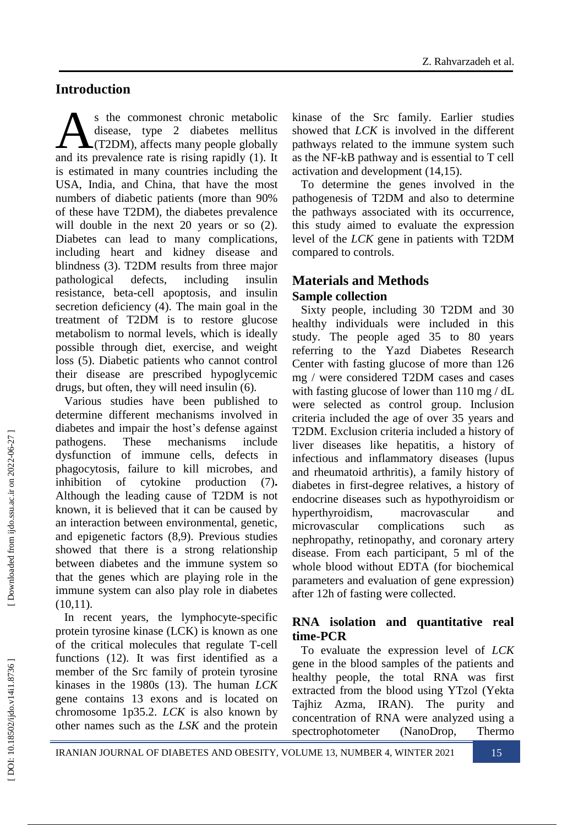# Introduction

s the commonest chronic metabolic disease, type 2 diabetes mellitus **A**(T2DM), affects many people globally s the commonest chronic metabolic<br>disease, type 2 diabetes mellitus<br>and its prevalence rate is rising rapidly (1). It is estimated in many countries including the USA, India, and China, that have the most numbers of diabetic patients (more than 90% of these have T2DM), the diabetes prevalence will double in the next 20 years or so  $(2)$ . Diabetes can lead to many complications, including heart and kidney disease and blindness (3) . T2DM results from three major pathological defects, including insulin resistance, beta -cell apoptosis, and insulin secretion deficiency (4) . The main goal in the treatment of T2DM is to restore glucose metabolism to normal levels, which is ideally possible through diet, exercise, and weight loss (5) . Diabetic patients who cannot control their disease are prescribed hypoglycemic drugs, but often, they will need insulin (6) .

Various studies have been published to determine different mechanisms involved in diabetes and impair the host's defense against pathogens. These mechanisms include dysfunction of immune cells, defects in phagocytosis, failure to kill microbes, and inhibition of cytokine production **.** Although the leading cause of T2DM is not known, it is believed that it can be caused by an interaction between environmental, genetic, and epigenetic factors (8 ,9) . Previous studies showed that there is a strong relationship between diabetes and the immune system so that the genes which are playing role in the immune system can also play role in diabetes  $(10,11).$ 

In recent years, the lymphocyte -specific protein tyrosine kinase (LCK) is known as one of the critical molecules that regulate T -cell functions (12). It was first identified as a member of the Src family of protein tyrosine kinases in the 1980s (13) . The human *LCK* gene contains 13 exons and is located on chromosome 1p35.2. *LCK* is also known by other names such as the *LSK* and the protein kinase of the Src family. Earlier studies showed that *LCK* is involved in the different pathways related to the immune system such as the NF -kB pathway and is essential to T cell activation and development (14 ,15 ) .

To determine the genes involved in the pathogenesis of T2DM and also to determine the pathways associated with its occurrence, this study aimed to evaluate the expression level of the *LCK* gene in patients with T2DM compared to controls.

## **Materials and Methods Sample collection**

Sixty people, including 30 T2DM and 30 healthy individuals were included in this study. The people aged 35 to 80 years referring to the Yazd Diabetes Research Center with fasting glucose of more than 126 mg / were considered T2DM cases and cases with fasting glucose of lower than 110 mg / dL were selected as control group. Inclusion criteria included the age of over 35 years and T2DM. Exclusion criteria included a history of liver diseases like hepatitis, a history of infectious and inflammatory diseases (lupus and rheumatoid arthritis), a family history of diabetes in first -degree relatives, a history of endocrine diseases such as hypothyroidism or hyperthyroidism, macrovascular and microvascular complications such as nephropathy, retinopathy, and coronary artery disease. From each participant, 5 ml of the whole blood without EDTA (for biochemical parameters and evaluation of gene expression) after 12h of fasting were collected.

#### **RNA isolation and quantitative real time -PCR**

To evaluate the expression level of *LCK* gene in the blood samples of the patients and healthy people, the total RNA was first extracted from the blood using YTzol (Yekta Tajhiz Azma, IRAN). The purity and concentration of RNA were analyzed using a spectrophotometer (NanoDrop, Thermo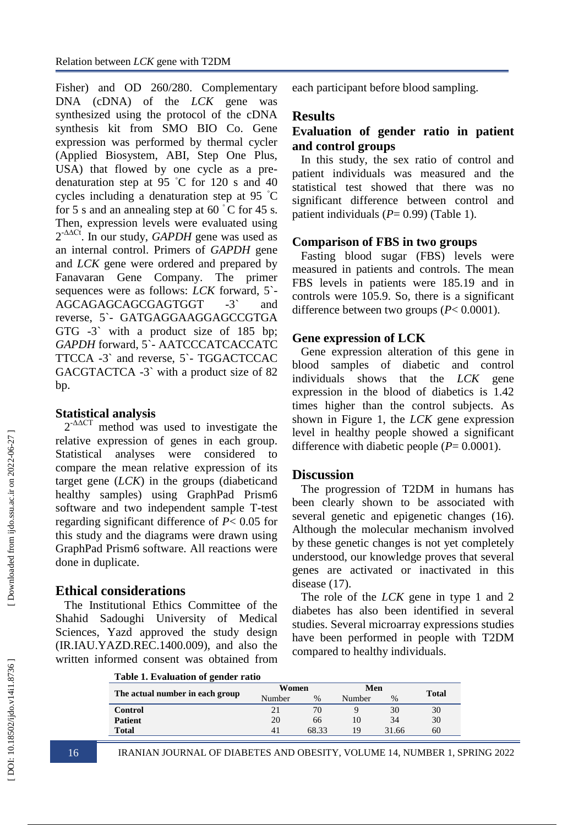Fisher) and OD 260/280. Complementary DNA (cDNA) of the *LCK* gene was synthesized using the protocol of the cDNA synthesis kit from SMO BIO Co. Gene expression was performed by thermal cycler (Applied Biosystem, ABI, Step One Plus, USA) that flowed by one cycle as a pre denaturation step at 95 ◦C for 120 s and 40 cycles including a denaturation step at 95 ◦C for 5 s and an annealing step at 60  $\degree$ C for 45 s. Then, expression levels were evaluated using 2-∆∆Ct. In our study, *GAPDH* gene was used as an internal control. Primers of *GAPDH* gene and *LCK* gene were ordered and prepared by Fanavaran Gene Company. The primer sequences were as follows: *LCK* forward, 5` - AGCAGAGCAGCGAGTGGT  $-3$ <sup>2</sup> and reverse, 5` - GATGAGGAAGGAGCCGTGA GTG -3` with a product size of 185 bp; GAPDH forward, 5`- AATCCCATCACCATC TTCCA -3` and reverse, 5` - TGGACTCCAC GACGTACTCA -3` with a product size of 82 bp.

#### **Statistical analysis**

 $2^{-\Delta\Delta CT}$  method was used to investigate the relative expression of genes in each group. Statistical analyses were considered to compare the mean relative expression of its target gene (*LCK*) in the groups (diabeticand healthy samples) using GraphPad Prism6 software and two independent sample T -test regarding significant difference of *P* < 0.05 for this study and the diagrams were drawn using GraphPad Prism6 software. All reactions were done in duplicate.

## **Ethical considerations**

The Institutional Ethics Committee of the Shahid Sadoughi University of Medical Sciences, Yazd approved the study design (IR.IAU.YAZD.REC.1400.009), and also the written informed consent was obtained from each participant before blood sampling.

#### **Results**

#### **Evaluation of gender ratio in patient and control groups**

In this study, the sex ratio of control and patient individuals was measured and the statistical test showed that there was no significant difference between control and patient individuals ( $P = 0.99$ ) (Table 1).

#### **Comparison of FBS in two groups**

Fasting blood sugar (FBS) levels were measured in patients and controls. The mean FBS levels in patients were 185.19 and in controls were 105.9. So, there is a significant difference between two groups ( *P*< 0.0001).

#### **Gene expression of LCK**

Gene expression alteration of this gene in blood samples of diabetic and control individuals shows that the *LCK* gene expression in the blood of diabetics is 1.42 times higher than the control subjects. As shown in Figure 1, the *LCK* gene expression level in healthy people showed a significant difference with diabetic people ( *P*= 0.0001).

#### **Discussion**

The progression of T2DM in humans has been clearly shown to be associated with several genetic and epigenetic changes (16). Although the molecular mechanism involved by these genetic changes is not yet completely understood, our knowledge proves that several genes are activated or inactivated in this disease  $(17)$ .

The role of the *LCK* gene in type 1 and 2 diabetes has also been identified in several studies. Several microarray expressions studies have been performed in people with T2DM compared to healthy individuals.

| Table 1. Evaluation of gender ratio |              |
|-------------------------------------|--------------|
|                                     | $\mathbf{W}$ |

| The actual number in each group | Women          |       | Men    |       | <b>Total</b> |  |  |  |  |
|---------------------------------|----------------|-------|--------|-------|--------------|--|--|--|--|
|                                 | Number         | %     | Number | $\%$  |              |  |  |  |  |
| Control                         | $\overline{2}$ | 70    |        | 30    | 30           |  |  |  |  |
| <b>Patient</b>                  | 20             | 66    |        | 34    | 30           |  |  |  |  |
| <b>Total</b>                    | 41             | 68.33 | 19     | 31.66 | 60           |  |  |  |  |
|                                 |                |       |        |       |              |  |  |  |  |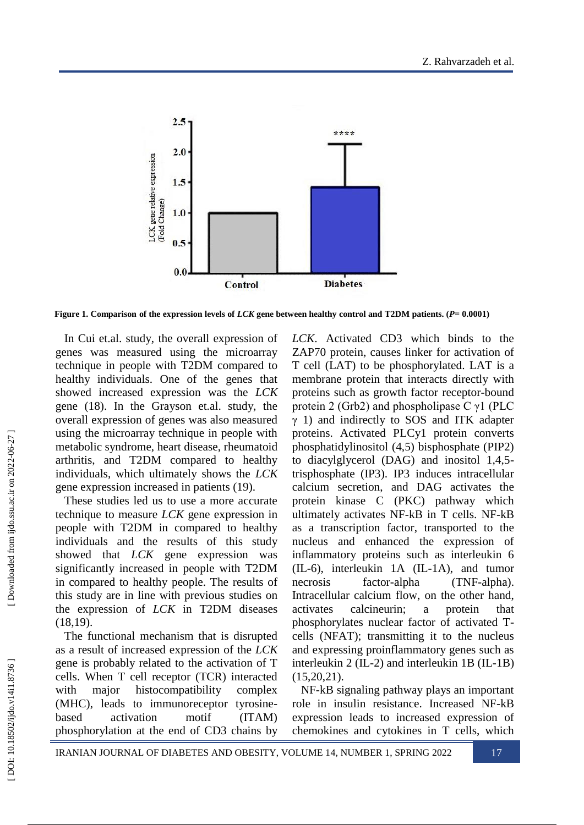

**Figure 1. Comparison of the expression levels of** *LCK* **gene between healthy control and T2DM patients. (** *P***= 0.0001)**

In Cui et.al. study, the overall expression of genes was measured using the microarray technique in people with T2DM compared to healthy individuals. One of the genes that showed increased expression was the *LCK* gene (18 ). In the Grayson et.al. study, the overall expression of genes was also measured using the microarray technique in people with metabolic syndrome, heart disease, rheumatoid arthritis, and T2DM compared to healthy individuals, which ultimately shows the *LCK* gene expression increased in patients (19 ) .

These studies led us to use a more accurate technique to measure *LCK* gene expression in people with T2DM in compared to healthy individuals and the results of this study showed that *LCK* gene expression was significantly increased in people with T2DM in compared to healthy people. The results of this study are in line with previous studies on the expression of *LCK* in T2DM diseases (18,19).

The functional mechanism that is disrupted as a result of increased expression of the *LCK*  gene is probably related to the activation of T cells. When T cell receptor (TCR) interacted with major histocompatibility complex (MHC), leads to immunoreceptor tyrosine based activation motif (ITAM) phosphorylation at the end of CD3 chains by

*LCK*. Activated CD3 which binds to the ZAP70 protein, causes linker for activation of T cell (LAT) to be phosphorylated. LAT is a membrane protein that interacts directly with proteins such as growth factor receptor -bound protein 2 (Grb2) and phospholipase C  $\gamma$ 1 (PLC  $\gamma$  1) and indirectly to SOS and ITK adapter proteins. Activated PLCy1 protein converts phosphatidylinositol (4,5) bisphosphate (PIP2) to diacylglycerol (DAG) and inositol 1,4,5 trisphosphate (IP3). IP3 induces intracellular calcium secretion, and DAG activates the protein kinase C (PKC) pathway which ultimately activates NF -kB in T cells. NF -kB as a transcription factor, transported to the nucleus and enhanced the expression of inflammatory proteins such as interleukin 6 (IL -6), interleukin 1A (IL -1A), and tumor necrosis factor-alpha (TNF-alpha). Intracellular calcium flow, on the other hand, activates calcineurin; a protein that phosphorylates nuclear factor of activated T cells (NFAT); transmitting it to the nucleus and expressing proinflammatory genes such as interleukin 2 (IL -2) and interleukin 1B (IL -1B)  $(15,20,21)$ .

NF -kB signaling pathway plays an important role in insulin resistance. Increased NF -kB expression leads to increased expression of chemokines and cytokines in T cells, which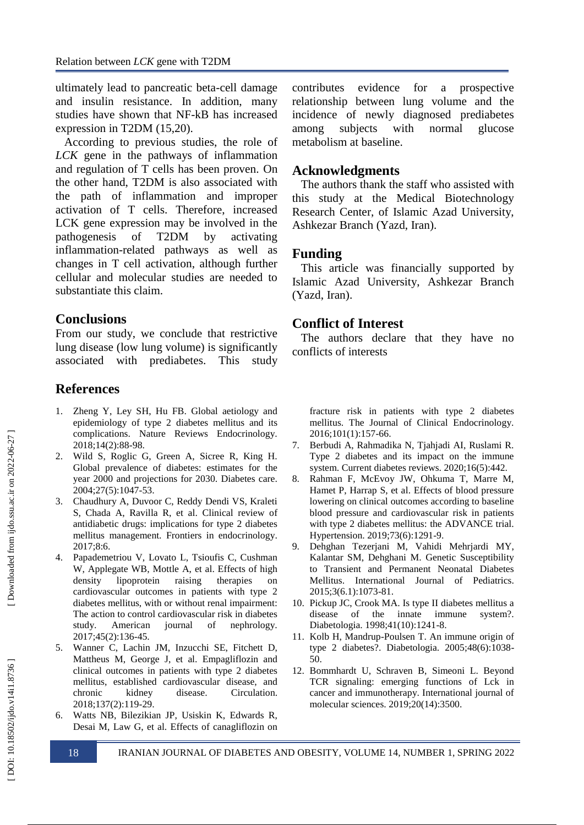ultimately lead to pancreatic beta -cell damage and insulin resistance. In addition, many studies have shown that NF -kB has increased expression in T2DM (15,20).

According to previous studies, the role of *LCK* gene in the pathways of inflammation and regulation of T cells has been proven. On the other hand, T2DM is also associated with the path of inflammation and improper activation of T cells. Therefore, increased LCK gene expression may be involved in the pathogenesis of T2DM by activating inflammation -related pathways as well as changes in T cell activation, although further cellular and molecular studies are needed to substantiate this claim.

#### **Conclusions**

From our study, we conclude that restrictive lung disease (low lung volume) is significantly associated with prediabetes. This study

#### **References**

- 1. Zheng Y, Ley SH, Hu FB. Global aetiology and epidemiology of type 2 diabetes mellitus and its complications. Nature Reviews Endocrinology. 2018;14(2):88 -98.
- 2 . Wild S, Roglic G, Green A, Sicree R, King H. Global prevalence of diabetes: estimates for the year 2000 and projections for 2030. Diabetes care. 2004;27(5):1047 -53.
- 3 . Chaudhury A, Duvoor C, Reddy Dendi VS, Kraleti S, Chada A, Ravilla R, et al. Clinical review of antidiabetic drugs: implications for type 2 diabetes mellitus management. Frontiers in endocrinology. 2017;8:6.
- 4 . Papademetriou V, Lovato L, Tsioufis C, Cushman W, Applegate WB, Mottle A, et al. Effects of high density lipoprotein raising therapies on cardiovascular outcomes in patients with type 2 diabetes mellitus, with or without renal impairment: The action to control cardiovascular risk in diabetes study. American journal of nephrology. 2017;45(2):136 -45.
- 5 . Wanner C, Lachin JM, Inzucchi SE, Fitchett D, Mattheus M, George J, et al. Empagliflozin and clinical outcomes in patients with type 2 diabetes mellitus, established cardiovascular disease, and chronic kidney disease. Circulation. 2018;137(2):119 -29.
- 6 . Watts NB, Bilezikian JP, Usiskin K, Edwards R, Desai M, Law G, et al. Effects of canagliflozin on

contributes evidence for a prospective relationship between lung volume and the incidence of newly diagnosed prediabetes among subjects with normal glucose metabolism at baseline.

#### **Acknowledgments**

The authors thank the staff who assisted with this study at the Medical Biotechnology Research Center, of Islamic Azad University, Ashkezar Branch (Yazd, Iran).

#### **Funding**

This article was financially supported by Islamic Azad University, Ashkezar Branch (Yazd, Iran).

#### **Conflict of Interest**

The authors declare that they have no conflicts of interests

fracture risk in patients with type 2 diabetes mellitus. The Journal of Clinical Endocrinology. 2016;101(1):157 -66.

- 7 . Berbudi A, Rahmadika N, Tjahjadi AI, Ruslami R. Type 2 diabetes and its impact on the immune system. Current diabetes reviews. 2020;16(5):442.
- 8 . Rahman F, McEvoy JW, Ohkuma T, Marre M, Hamet P, Harrap S, et al. Effects of blood pressure lowering on clinical outcomes according to baseline blood pressure and cardiovascular risk in patients with type 2 diabetes mellitus: the ADVANCE trial. Hypertension. 2019;73(6):1291 -9.
- 9. . Dehghan Tezerjani M, Vahidi Mehrjardi MY, Kalantar SM, Dehghani M. Genetic Susceptibility to Transient and Permanent Neonatal Diabetes Mellitus. International Journal of Pediatrics. 2015;3(6.1):1073 -81.
- 10 . Pickup JC, Crook MA. Is type II diabetes mellitus a disease of the innate immune system?. Diabetologia. 1998;41(10):1241 -8.
- 11 . Kolb H, Mandrup -Poulsen T. An immune origin of type 2 diabetes?. Diabetologia. 2005;48(6):1038 - 50.
- 12 . Bommhardt U, Schraven B, Simeoni L. Beyond TCR signaling: emerging functions of Lck in cancer and immunotherapy. International journal of molecular sciences. 2019;20(14):3500.

DOI: 10.18502/ijdo.v14i1.8736